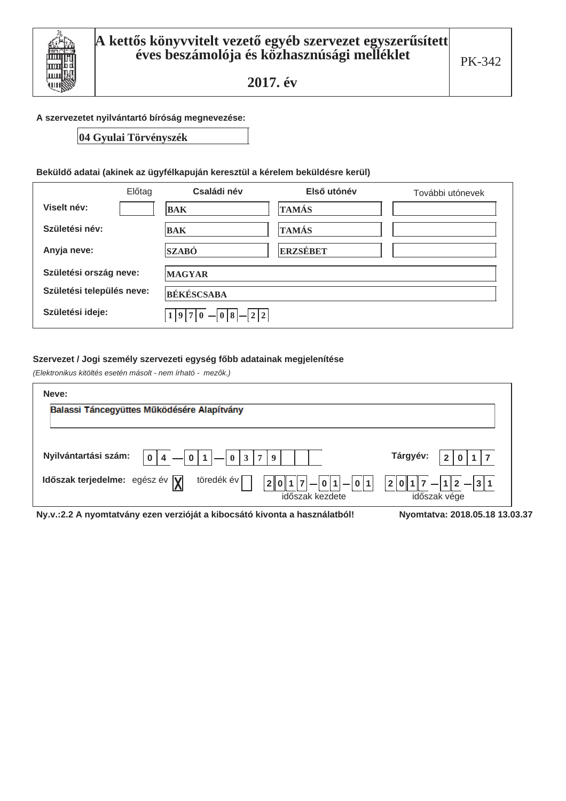

# A szervezetet nyilvántartó bíróság megnevezése:

04 Gyulai Törvényszék

## Beküldő adatai (akinek az ügyfélkapuján keresztül a kérelem beküldésre kerül)

|                           | Előtag | Családi név                       | Első utónév  | További utónevek |  |  |
|---------------------------|--------|-----------------------------------|--------------|------------------|--|--|
| Viselt név:               |        | <b>BAK</b>                        | <b>TAMÁS</b> |                  |  |  |
| Születési név:            |        | <b>BAK</b>                        | <b>TAMÁS</b> |                  |  |  |
| Anyja neve:               |        | <b>SZABÓ</b>                      | ERZSÉBET     |                  |  |  |
| Születési ország neve:    |        | <b>MAGYAR</b>                     |              |                  |  |  |
| Születési település neve: |        | <b>BÉKÉSCSABA</b>                 |              |                  |  |  |
| Születési ideje:          |        | $-22$<br>$ 0 $ - $ 0 8 $<br>1 9 7 |              |                  |  |  |

#### Szervezet / Jogi személy szervezeti egység főbb adatainak megjelenítése

(Elektronikus kitöltés esetén másolt - nem írható - mezők.)

| Neve:                                                                                                                 |                                          |
|-----------------------------------------------------------------------------------------------------------------------|------------------------------------------|
| Balassi Táncegyüttes Működésére Alapítvány                                                                            |                                          |
|                                                                                                                       |                                          |
| Nyilvántartási szám:<br>7 I<br>$\mathbf{0}$<br>$\mathbf{0}$<br>3 <sup>1</sup><br>$\mathbf{1}$<br>0 <sup>1</sup><br>9  | Tárgyév:<br>$\overline{2}$               |
| töredék év<br>Időszak terjedelme: egész év $\sqrt{\mathbf{y}}$<br>$ 0 1  -  0 1$<br>2 <sup>1</sup><br>időszak kezdete | $ 1 2 - 3 1 $<br> 2 0 1 <br>időszak vége |
| Ny.v.:2.2 A nyomtatvány ezen verzióját a kibocsátó kivonta a használatból!                                            | Nyomtatya: 2018.05.18 13.03.37           |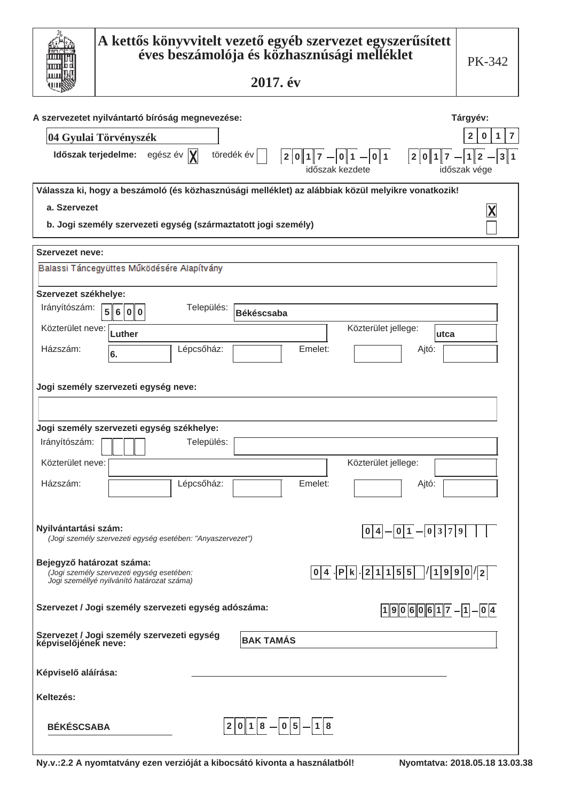|                                               | A kettős könyvvitelt vezető egyéb szervezet egyszerűsített<br>éves beszámolója és közhasznúsági melléklet                                                                                | PK-342                                                                                                   |
|-----------------------------------------------|------------------------------------------------------------------------------------------------------------------------------------------------------------------------------------------|----------------------------------------------------------------------------------------------------------|
|                                               | 2017. év                                                                                                                                                                                 |                                                                                                          |
|                                               | A szervezetet nyilvántartó bíróság megnevezése:<br>04 Gyulai Törvényszék<br>Időszak terjedelme: egész év  X <br>töredék év<br> 2 0 1 7 <br>2 0 1<br>$- 0 1 $<br> 0 1 <br>időszak kezdete | Tárgyév:<br>$\overline{2}$<br>$\overline{\mathbf{z}}$<br>$\mathbf{1}$<br>$\bf{0}$<br>3 1<br>időszak vége |
| a. Szervezet                                  | Válassza ki, hogy a beszámoló (és közhasznúsági melléklet) az alábbiak közül melyikre vonatkozik!<br>b. Jogi személy szervezeti egység (származtatott jogi személy)                      |                                                                                                          |
| Szervezet neve:                               |                                                                                                                                                                                          |                                                                                                          |
|                                               | Balassi Táncegyüttes Működésére Alapítvány                                                                                                                                               |                                                                                                          |
| Szervezet székhelye:<br>Irányítószám:         | Település:<br>5 6 0 0<br><b>Békéscsaba</b>                                                                                                                                               |                                                                                                          |
| Közterület neve:                              | Közterület jellege:<br>Luther<br>lutca                                                                                                                                                   |                                                                                                          |
| Házszám:                                      | Lépcsőház:<br>Emelet:<br>Ajtó:<br>6.                                                                                                                                                     |                                                                                                          |
| Irányítószám:<br>Közterület neve:<br>Házszám: | Jogi személy szervezeti egység neve:<br>Jogi személy szervezeti egység székhelye:<br>Település:<br>Közterület jellege:<br>Lépcsőház:<br>Emelet:<br>Ajtó:                                 |                                                                                                          |
| Nyilvántartási szám:                          | 0 1 <br>$-0379$<br>0 4 <br>(Jogi személy szervezeti egység esetében: "Anyaszervezet")                                                                                                    |                                                                                                          |
| Bejegyző határozat száma:                     | $0 4 $  P k  2 1 1 5 5 <br>$\sqrt{\vert 1 \vert 9 \vert 9 \vert 0 \vert \vert 2 \vert}$<br>(Jogi személy szervezeti egység esetében:<br>Jogi személlyé nyilvánító határozat száma)       |                                                                                                          |
|                                               | Szervezet / Jogi személy szervezeti egység adószáma:<br>$ 1 9 0 6 0 6 1 7 - 1 - 0 4 $                                                                                                    |                                                                                                          |
|                                               | Szervezet / Jogi személy szervezeti egység<br>képviselőjének neve:<br><b>BAK TAMÁS</b>                                                                                                   |                                                                                                          |
| Képviselő aláírása:                           |                                                                                                                                                                                          |                                                                                                          |
| Keltezés:                                     |                                                                                                                                                                                          |                                                                                                          |
| <b>BÉKÉSCSABA</b>                             | 0 1 8<br>$- 0 5 - 1 8$<br>$2\ $                                                                                                                                                          |                                                                                                          |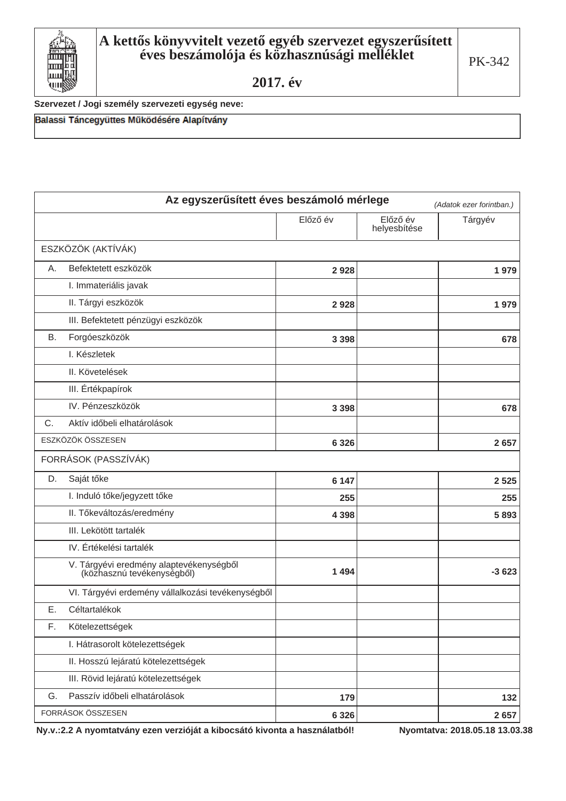

Szervezet / Jogi személy szervezeti egység neve:

Balassi Táncegyüttes Működésére Alapítvány

|           | Az egyszerűsített éves beszámoló mérlege                              |          |                          | (Adatok ezer forintban.) |
|-----------|-----------------------------------------------------------------------|----------|--------------------------|--------------------------|
|           |                                                                       | Előző év | Előző év<br>helyesbítése | Tárgyév                  |
|           | ESZKÖZÖK (AKTÍVÁK)                                                    |          |                          |                          |
| А.        | Befektetett eszközök                                                  | 2928     |                          | 1979                     |
|           | I. Immateriális javak                                                 |          |                          |                          |
|           | II. Tárgyi eszközök                                                   | 2928     |                          | 1979                     |
|           | III. Befektetett pénzügyi eszközök                                    |          |                          |                          |
| <b>B.</b> | Forgóeszközök                                                         | 3 3 9 8  |                          | 678                      |
|           | I. Készletek                                                          |          |                          |                          |
|           | II. Követelések                                                       |          |                          |                          |
|           | III. Értékpapírok                                                     |          |                          |                          |
|           | IV. Pénzeszközök                                                      | 3 3 9 8  |                          | 678                      |
| C.        | Aktív időbeli elhatárolások                                           |          |                          |                          |
|           | ESZKÖZÖK ÖSSZESEN                                                     | 6 3 2 6  |                          | 2 6 5 7                  |
|           | FORRÁSOK (PASSZÍVÁK)                                                  |          |                          |                          |
| D.        | Saját tőke                                                            | 6 1 4 7  |                          | 2 5 2 5                  |
|           | I. Induló tőke/jegyzett tőke                                          | 255      |                          | 255                      |
|           | II. Tőkeváltozás/eredmény                                             | 4 3 9 8  |                          | 5893                     |
|           | III. Lekötött tartalék                                                |          |                          |                          |
|           | IV. Értékelési tartalék                                               |          |                          |                          |
|           | V. Tárgyévi eredmény alaptevékenységből<br>(közhasznú tevékenységből) | 1494     |                          | $-3623$                  |
|           | VI. Tárgyévi erdemény vállalkozási tevékenységből                     |          |                          |                          |
| Ε.        | Céltartalékok                                                         |          |                          |                          |
| F.        | Kötelezettségek                                                       |          |                          |                          |
|           | I. Hátrasorolt kötelezettségek                                        |          |                          |                          |
|           | II. Hosszú lejáratú kötelezettségek                                   |          |                          |                          |
|           | III. Rövid lejáratú kötelezettségek                                   |          |                          |                          |
| G.        | Passzív időbeli elhatárolások                                         | 179      |                          | 132                      |
|           | FORRÁSOK ÖSSZESEN                                                     | 6 3 2 6  |                          | 2657                     |

Ny.v.:2.2 A nyomtatvány ezen verzióját a kibocsátó kivonta a használatból!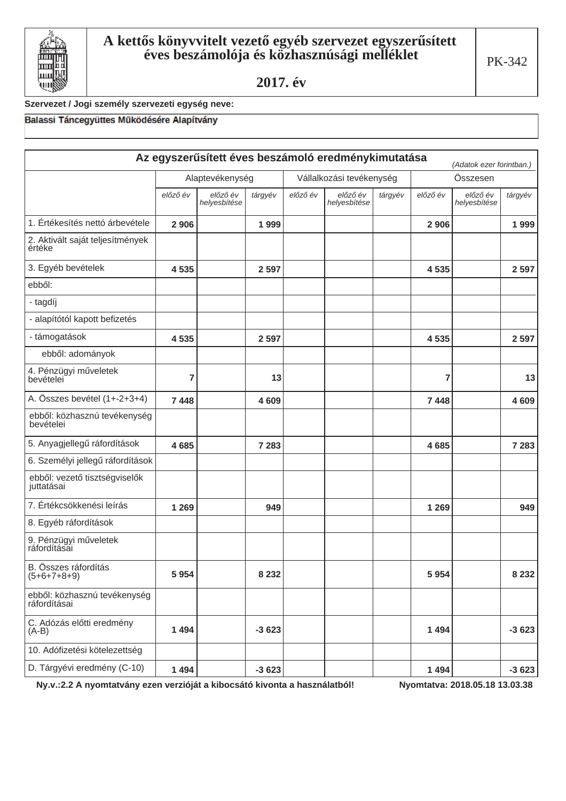

## Szervezet / Jogi személy szervezeti egység neve:

## Balassi Táncegyüttes Működésére Alapítvány

|                                              |          |                          |         |          | Az egyszerűsített éves beszámoló eredménykimutatása |         |          | (Adatok ezer forintban.) |         |
|----------------------------------------------|----------|--------------------------|---------|----------|-----------------------------------------------------|---------|----------|--------------------------|---------|
|                                              |          | Alaptevékenység          |         |          | Vállalkozási tevékenység                            |         |          | Összesen                 |         |
|                                              | előző év | előző év<br>helyesbítése | tárgyév | előző év | előző év<br>helyesbítése                            | tárgyév | előző év | előző év<br>helyesbítése | tárgyév |
| 1. Értékesítés nettó árbevétele              | 2 9 0 6  |                          | 1999    |          |                                                     |         | 2 9 0 6  |                          | 1999    |
| 2. Aktivált saját teljesítmények<br>értéke   |          |                          |         |          |                                                     |         |          |                          |         |
| 3. Egyéb bevételek                           | 4535     |                          | 2 5 9 7 |          |                                                     |         | 4535     |                          | 2 5 9 7 |
| ebből:                                       |          |                          |         |          |                                                     |         |          |                          |         |
| - tagdíj                                     |          |                          |         |          |                                                     |         |          |                          |         |
| - alapítótól kapott befizetés                |          |                          |         |          |                                                     |         |          |                          |         |
| - támogatások                                | 4535     |                          | 2 5 9 7 |          |                                                     |         | 4535     |                          | 2 5 9 7 |
| ebből: adományok                             |          |                          |         |          |                                                     |         |          |                          |         |
| 4. Pénzügyi műveletek<br>bevételei           | 7        |                          | 13      |          |                                                     |         | 7        |                          | 13      |
| A. Összes bevétel (1+-2+3+4)                 | 7 4 4 8  |                          | 4609    |          |                                                     |         | 7448     |                          | 4609    |
| ebből: közhasznú tevékenység<br>hevételei    |          |                          |         |          |                                                     |         |          |                          |         |
| 5. Anyagjellegű ráfordítások                 | 4685     |                          | 7 2 8 3 |          |                                                     |         | 4685     |                          | 7 2 8 3 |
| 6. Személyi jellegű ráfordítások             |          |                          |         |          |                                                     |         |          |                          |         |
| ebből: vezető tisztségviselők<br>juttatásai  |          |                          |         |          |                                                     |         |          |                          |         |
| 7. Értékcsökkenési leírás                    | 1 2 6 9  |                          | 949     |          |                                                     |         | 1 2 6 9  |                          | 949     |
| 8. Egyéb ráfordítások                        |          |                          |         |          |                                                     |         |          |                          |         |
| 9. Pénzügyi műveletek<br>ráfordításai        |          |                          |         |          |                                                     |         |          |                          |         |
| B. Összes ráfordítás<br>(5+6+7+8+9)          | 5954     |                          | 8 2 3 2 |          |                                                     |         | 5954     |                          | 8 2 3 2 |
| ebből: közhasznú tevékenység<br>ráfordításai |          |                          |         |          |                                                     |         |          |                          |         |
| C. Adózás előtti eredmény<br>$(A-B)$         | 1494     |                          | $-3623$ |          |                                                     |         | 1494     |                          | $-3623$ |
| 10. Adófizetési kötelezettség                |          |                          |         |          |                                                     |         |          |                          |         |
| D. Tárgyévi eredmény (C-10)                  | 1494     |                          | $-3623$ |          |                                                     |         | 1494     |                          | $-3623$ |

Ny.v.:2.2 A nyomtatvány ezen verzióját a kibocsátó kivonta a használatból!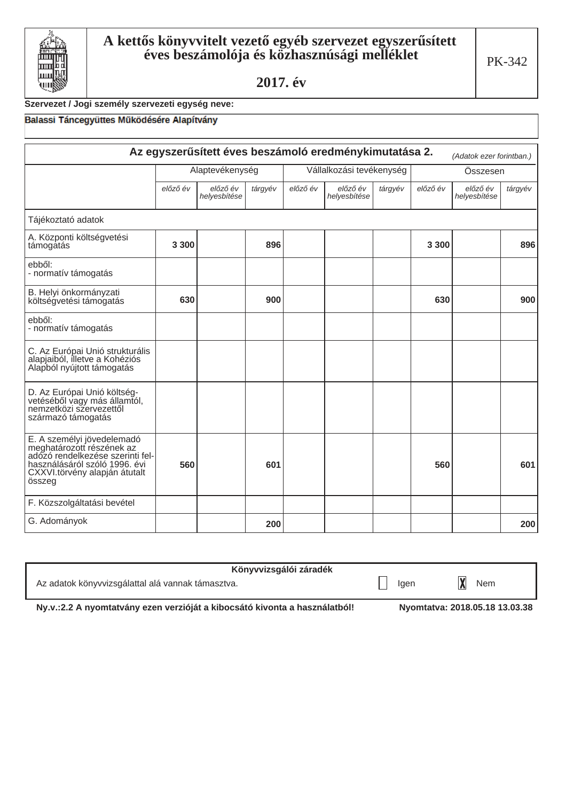

# Szervezet / Jogi személy szervezeti egység neve:

## Balassi Táncegyüttes Működésére Alapítvány

| Az egyszerűsített éves beszámoló eredménykimutatása 2.<br>(Adatok ezer forintban.)                                                                                      |          |                          |         |          |                          |         |          |                          |         |
|-------------------------------------------------------------------------------------------------------------------------------------------------------------------------|----------|--------------------------|---------|----------|--------------------------|---------|----------|--------------------------|---------|
|                                                                                                                                                                         |          | Alaptevékenység          |         |          | Vállalkozási tevékenység |         |          | Összesen                 |         |
|                                                                                                                                                                         | előző év | előző év<br>helyesbítése | tárgyév | előző év | előző év<br>helyesbítése | tárgyév | előző év | előző év<br>helyesbítése | tárgyév |
| Tájékoztató adatok                                                                                                                                                      |          |                          |         |          |                          |         |          |                          |         |
| A. Központi költségvetési<br>támogatás                                                                                                                                  | 3 3 0 0  |                          | 896     |          |                          |         | 3 3 0 0  |                          | 896     |
| ebből:<br>- normatív támogatás                                                                                                                                          |          |                          |         |          |                          |         |          |                          |         |
| B. Helyi önkormányzati<br>költségvetési támogatás                                                                                                                       | 630      |                          | 900     |          |                          |         | 630      |                          | 900     |
| ebből:<br>- normatív támogatás                                                                                                                                          |          |                          |         |          |                          |         |          |                          |         |
| C. Az Európai Unió strukturális<br>alapjaiból, illetve a Kohéziós<br>Alapból nyújtott támogatás                                                                         |          |                          |         |          |                          |         |          |                          |         |
| D. Az Európai Unió költség-<br>vetéséből vagy más államtól,<br>nemzetközi szervezettől<br>származó támogatás                                                            |          |                          |         |          |                          |         |          |                          |         |
| E. A személyi jövedelemadó<br>meghatározott részének az<br>adózó rendelkezése szerinti fel-<br>használásáról szóló 1996. évi<br>CXXVI.törvény alapján átutalt<br>összeg | 560      |                          | 601     |          |                          |         | 560      |                          | 601     |
| F. Közszolgáltatási bevétel                                                                                                                                             |          |                          |         |          |                          |         |          |                          |         |
| G. Adományok                                                                                                                                                            | 200      |                          |         | 200      |                          |         |          |                          |         |

| Könyvvizsgálói záradék                            |      |     |
|---------------------------------------------------|------|-----|
| Az adatok könyvvizsgálattal alá vannak támasztva. | laen | Nem |

Ny.v.:2.2 A nyomtatvány ezen verzióját a kibocsátó kivonta a használatból!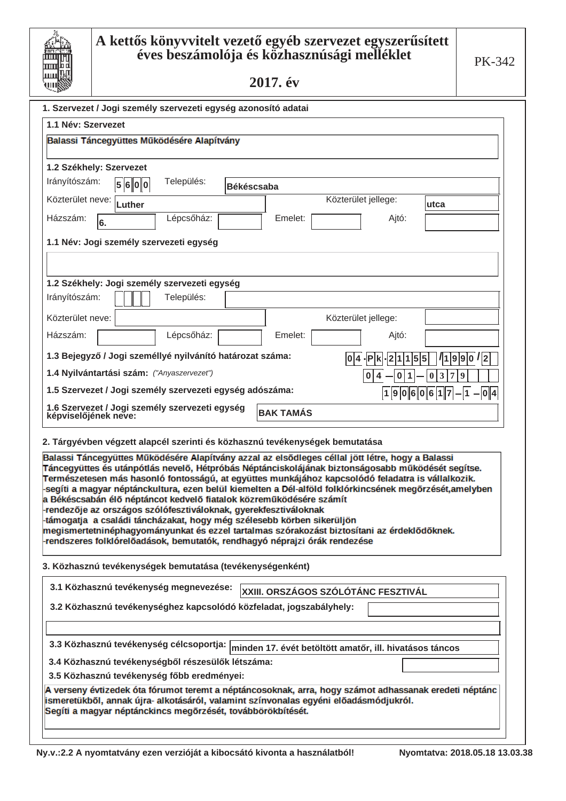| Ш        |
|----------|
| Ш        |
|          |
| <u>ш</u> |
|          |
| ш        |

| 1.1 Név: Szervezet                                                                                                                                                                                                                                                                               |        |                                        |                   |                     |  |                                                                                                                                                                                                                                                                                                                                                                                                           |                                                                                                         |
|--------------------------------------------------------------------------------------------------------------------------------------------------------------------------------------------------------------------------------------------------------------------------------------------------|--------|----------------------------------------|-------------------|---------------------|--|-----------------------------------------------------------------------------------------------------------------------------------------------------------------------------------------------------------------------------------------------------------------------------------------------------------------------------------------------------------------------------------------------------------|---------------------------------------------------------------------------------------------------------|
| Balassi Táncegyüttes Működésére Alapítvány                                                                                                                                                                                                                                                       |        |                                        |                   |                     |  |                                                                                                                                                                                                                                                                                                                                                                                                           |                                                                                                         |
|                                                                                                                                                                                                                                                                                                  |        |                                        |                   |                     |  |                                                                                                                                                                                                                                                                                                                                                                                                           |                                                                                                         |
| 1.2 Székhely: Szervezet<br>Irányítószám:                                                                                                                                                                                                                                                         |        | Település:                             |                   |                     |  |                                                                                                                                                                                                                                                                                                                                                                                                           |                                                                                                         |
|                                                                                                                                                                                                                                                                                                  | 5600   |                                        | <b>Békéscsaba</b> |                     |  |                                                                                                                                                                                                                                                                                                                                                                                                           |                                                                                                         |
| Közterület neve:                                                                                                                                                                                                                                                                                 | Luther |                                        |                   |                     |  | Közterület jellege:                                                                                                                                                                                                                                                                                                                                                                                       | utca                                                                                                    |
| Házszám:<br>6.                                                                                                                                                                                                                                                                                   |        | Lépcsőház:                             |                   | Emelet:             |  | Ajtó:                                                                                                                                                                                                                                                                                                                                                                                                     |                                                                                                         |
| 1.1 Név: Jogi személy szervezeti egység                                                                                                                                                                                                                                                          |        |                                        |                   |                     |  |                                                                                                                                                                                                                                                                                                                                                                                                           |                                                                                                         |
|                                                                                                                                                                                                                                                                                                  |        |                                        |                   |                     |  |                                                                                                                                                                                                                                                                                                                                                                                                           |                                                                                                         |
| 1.2 Székhely: Jogi személy szervezeti egység                                                                                                                                                                                                                                                     |        |                                        |                   |                     |  |                                                                                                                                                                                                                                                                                                                                                                                                           |                                                                                                         |
| Irányítószám:                                                                                                                                                                                                                                                                                    |        | Település:                             |                   |                     |  |                                                                                                                                                                                                                                                                                                                                                                                                           |                                                                                                         |
| Közterület neve:                                                                                                                                                                                                                                                                                 |        |                                        |                   | Közterület jellege: |  |                                                                                                                                                                                                                                                                                                                                                                                                           |                                                                                                         |
| Házszám:                                                                                                                                                                                                                                                                                         |        | Lépcsőház:                             |                   | Emelet:             |  | Ajtó:                                                                                                                                                                                                                                                                                                                                                                                                     |                                                                                                         |
| 1.3 Bejegyző / Jogi személlyé nyilvánító határozat száma:                                                                                                                                                                                                                                        |        |                                        |                   |                     |  | $ 0 4 $ . $ P k$<br> 2 1 1<br>15                                                                                                                                                                                                                                                                                                                                                                          | / 1 9 9 0 / 2<br>5                                                                                      |
| 1.4 Nyilvántartási szám: ("Anyaszervezet")                                                                                                                                                                                                                                                       |        |                                        |                   |                     |  | 0<br>1<br>4<br>0                                                                                                                                                                                                                                                                                                                                                                                          | $\overline{3}$<br>  7<br>9<br>$\boldsymbol{0}$                                                          |
| 1.5 Szervezet / Jogi személy szervezeti egység adószáma:<br> 1  9  0  6  0  6  1  7<br>$- 1 $<br>- 0 4                                                                                                                                                                                           |        |                                        |                   |                     |  |                                                                                                                                                                                                                                                                                                                                                                                                           |                                                                                                         |
| 1.6 Szervezet / Jogi személy szervezeti egység<br>képviselőjének neve:                                                                                                                                                                                                                           |        |                                        |                   | <b>BAK TAMÁS</b>    |  |                                                                                                                                                                                                                                                                                                                                                                                                           |                                                                                                         |
| 2. Tárgyévben végzett alapcél szerinti és közhasznú tevékenységek bemutatása                                                                                                                                                                                                                     |        |                                        |                   |                     |  |                                                                                                                                                                                                                                                                                                                                                                                                           |                                                                                                         |
| a Békéscsabán élő néptáncot kedvelő fiatalok közreműködésére számít<br>-rendezője az országos szólófesztiváloknak, gyerekfesztiváloknak<br>-támogatja  a családi táncházakat, hogy még szélesebb körben sikerüljön<br>-rendszeres folklórelőadások, bemutatók, rendhagyó néprajzi órák rendezése |        |                                        |                   |                     |  | Balassi Táncegyüttes Működésére Alapítvány azzal az elsődleges céllal jött létre, hogy a Balassi<br>Táncegyüttes és utánpótlás nevelő, Hétpróbás Néptánciskolájának biztonságosabb működését segítse.<br>Természetesen más hasonló fontosságú, at együttes munkájához kapcsolódó feladatra is vállalkozik.<br>megismertetninéphagyományunkat és ezzel tartalmas szórakozást biztosítani az érdeklődőknek. | -segíti a magyar néptánckultura, ezen belül kiemelten a Dél-alföld folklórkincsének megőrzését,amelyben |
| 3. Közhasznú tevékenységek bemutatása (tevékenységenként)                                                                                                                                                                                                                                        |        |                                        |                   |                     |  |                                                                                                                                                                                                                                                                                                                                                                                                           |                                                                                                         |
|                                                                                                                                                                                                                                                                                                  |        | 3.1 Közhasznú tevékenység megnevezése: |                   |                     |  | XXIII. ORSZÁGOS SZÓLÓTÁNC FESZTIVÁL                                                                                                                                                                                                                                                                                                                                                                       |                                                                                                         |

3.2 Közhasznú tevékenységhez kapcsolódó közfeladat, jogszabályhely:

3.3 Közhasznú tevékenység célcsoportja: minden 17. évét betöltött amatőr, ill. hivatásos táncos

3.4 Közhasznú tevékenységből részesülők létszáma:

3.5 Közhasznú tevékenység főbb eredményei:

A verseny évtizedek óta fórumot teremt a néptáncosoknak, arra, hogy számot adhassanak eredeti néptánc ismeretükből, annak újra- alkotásáról, valamint színvonalas egyéni előadásmódjukról. Segíti a magyar néptánckincs megőrzését, továbbörökbítését.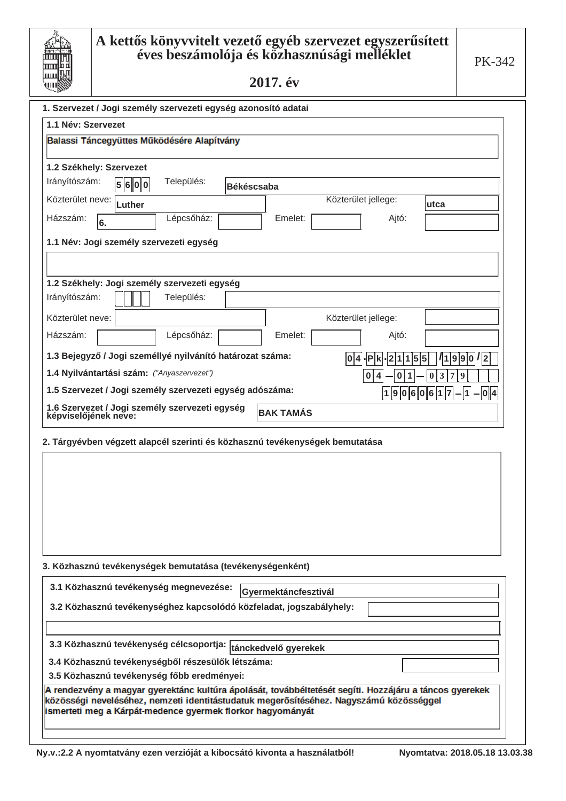| Ш        |
|----------|
| Ш        |
|          |
| <u>ш</u> |
|          |
| ш        |

| -دو۔-                                                                                                                                                |                      |                     |                               |
|------------------------------------------------------------------------------------------------------------------------------------------------------|----------------------|---------------------|-------------------------------|
| 1. Szervezet / Jogi személy szervezeti egység azonosító adatai                                                                                       |                      |                     |                               |
| 1.1 Név: Szervezet                                                                                                                                   |                      |                     |                               |
| Balassi Táncegyüttes Működésére Alapítvány                                                                                                           |                      |                     |                               |
| 1.2 Székhely: Szervezet                                                                                                                              |                      |                     |                               |
| Irányítószám:<br>Település:<br>5600                                                                                                                  |                      |                     |                               |
| Közterület neve:                                                                                                                                     | <b>Békéscsaba</b>    | Közterület jellege: |                               |
| Luther                                                                                                                                               |                      |                     | utca                          |
| Lépcsőház:<br>Házszám:<br>6.                                                                                                                         | Emelet:              | Ajtó:               |                               |
| 1.1 Név: Jogi személy szervezeti egység                                                                                                              |                      |                     |                               |
|                                                                                                                                                      |                      |                     |                               |
|                                                                                                                                                      |                      |                     |                               |
| 1.2 Székhely: Jogi személy szervezeti egység                                                                                                         |                      |                     |                               |
| Irányítószám:<br>Település:                                                                                                                          |                      |                     |                               |
| Közterület neve:                                                                                                                                     |                      | Közterület jellege: |                               |
| Lépcsőház:<br>Házszám:                                                                                                                               | Emelet:              | Ajtó:               |                               |
| 1.3 Bejegyző / Jogi személlyé nyilvánító határozat száma:                                                                                            | 1014                 | .IP<br>5<br>1       | 1 9 9 0 /2<br>5               |
| 1.4 Nyilvántartási szám: ("Anyaszervezet")                                                                                                           |                      | 0<br>0              | 3<br>7<br>$\overline{9}$<br>0 |
| 1.5 Szervezet / Jogi személy szervezeti egység adószáma:                                                                                             |                      | 10<br> 1 9          | $ 6 0 6 1 7 - 1 - 0 4 $       |
| 1.6 Szervezet / Jogi személy szervezeti egység                                                                                                       |                      |                     |                               |
| képviselőjének neve:                                                                                                                                 | <b>BAK TAMÁS</b>     |                     |                               |
| 2. Tárgyévben végzett alapcél szerinti és közhasznú tevékenységek bemutatása                                                                         |                      |                     |                               |
|                                                                                                                                                      |                      |                     |                               |
|                                                                                                                                                      |                      |                     |                               |
|                                                                                                                                                      |                      |                     |                               |
|                                                                                                                                                      |                      |                     |                               |
|                                                                                                                                                      |                      |                     |                               |
|                                                                                                                                                      |                      |                     |                               |
|                                                                                                                                                      |                      |                     |                               |
| 3. Közhasznú tevékenységek bemutatása (tevékenységenként)                                                                                            |                      |                     |                               |
|                                                                                                                                                      |                      |                     |                               |
| 3.1 Közhasznú tevékenység megnevezése:                                                                                                               | Gyermektáncfesztivál |                     |                               |
| 3.2 Közhasznú tevékenységhez kapcsolódó közfeladat, jogszabályhely:                                                                                  |                      |                     |                               |
|                                                                                                                                                      |                      |                     |                               |
| 3.3 Közhasznú tevékenység célcsoportja:                                                                                                              | tánckedvelő gyerekek |                     |                               |
| 3.4 Közhasznú tevékenységből részesülők létszáma:                                                                                                    |                      |                     |                               |
| 3.5 Közhasznú tevékenység főbb eredményei:                                                                                                           |                      |                     |                               |
| A rendezvény a magyar gyerektánc kultúra ápolását, továbbéltetését segíti. Hozzájáru a táncos gyerekek                                               |                      |                     |                               |
| közösségi neveléséhez, nemzeti identitástudatuk megerősítéséhez. Nagyszámú közösséggel<br>ismerteti meg a Kárpát-medence gyermek florkor hagyományát |                      |                     |                               |
|                                                                                                                                                      |                      |                     |                               |
|                                                                                                                                                      |                      |                     |                               |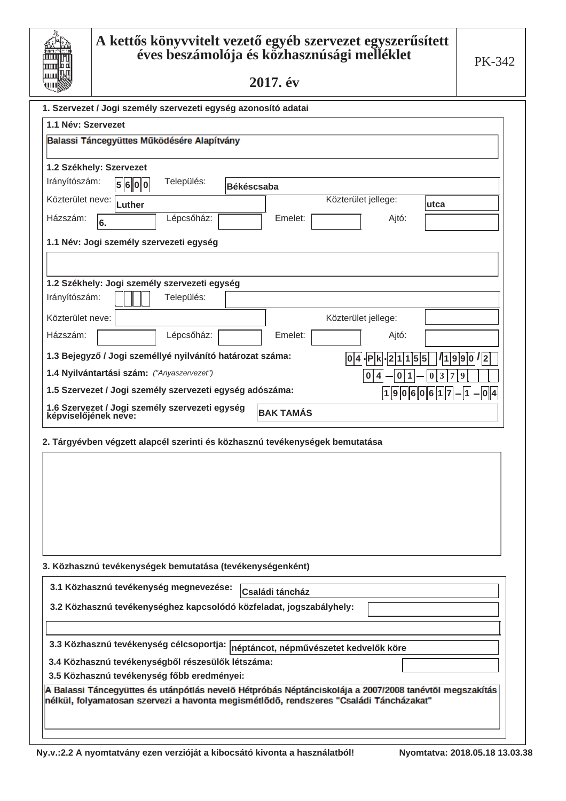| Ш         |
|-----------|
|           |
| Ш         |
| <u>шı</u> |
|           |
| Ш         |

| 1. Szervezet / Jogi személy szervezeti egység azonosító adatai                                         |                                            |                  |                                                       |
|--------------------------------------------------------------------------------------------------------|--------------------------------------------|------------------|-------------------------------------------------------|
| 1.1 Név: Szervezet                                                                                     |                                            |                  |                                                       |
| Balassi Táncegyüttes Működésére Alapítvány                                                             |                                            |                  |                                                       |
|                                                                                                        |                                            |                  |                                                       |
| 1.2 Székhely: Szervezet<br>Irányítószám:                                                               |                                            |                  |                                                       |
| Település:<br>5600                                                                                     | <b>Békéscsaba</b>                          |                  |                                                       |
| Közterület neve:<br>Luther                                                                             | Közterület jellege:                        |                  | utca                                                  |
| Lépcsőház:<br>Házszám:<br>6.                                                                           | Emelet:                                    | Ajtó:            |                                                       |
| 1.1 Név: Jogi személy szervezeti egység                                                                |                                            |                  |                                                       |
|                                                                                                        |                                            |                  |                                                       |
|                                                                                                        |                                            |                  |                                                       |
| 1.2 Székhely: Jogi személy szervezeti egység<br>Irányítószám:<br>Település:                            |                                            |                  |                                                       |
|                                                                                                        |                                            |                  |                                                       |
| Közterület neve:                                                                                       | Közterület jellege:                        |                  |                                                       |
| Házszám:<br>Lépcsőház:                                                                                 | Emelet:                                    | Ajtó:            |                                                       |
| 1.3 Bejegyző / Jogi személlyé nyilvánító határozat száma:                                              | 1014                                       | .∣P<br>5<br>1    | 1 9 9 0 /2<br>5                                       |
| 1.4 Nyilvántartási szám: ("Anyaszervezet")                                                             |                                            | 0<br>0           | $\mathbf{3}$<br>$\overline{7}$<br>$\overline{9}$<br>0 |
| 1.5 Szervezet / Jogi személy szervezeti egység adószáma:                                               |                                            | <b>O</b><br> 1 9 | $ 6 0 6 1 7 - 1 - 0 4 $                               |
| 1.6 Szervezet / Jogi személy szervezeti egység<br>képviselőjének neve:                                 | <b>BAK TAMÁS</b>                           |                  |                                                       |
|                                                                                                        |                                            |                  |                                                       |
| 2. Tárgyévben végzett alapcél szerinti és közhasznú tevékenységek bemutatása                           |                                            |                  |                                                       |
|                                                                                                        |                                            |                  |                                                       |
|                                                                                                        |                                            |                  |                                                       |
|                                                                                                        |                                            |                  |                                                       |
|                                                                                                        |                                            |                  |                                                       |
|                                                                                                        |                                            |                  |                                                       |
|                                                                                                        |                                            |                  |                                                       |
|                                                                                                        |                                            |                  |                                                       |
| 3. Közhasznú tevékenységek bemutatása (tevékenységenként)                                              |                                            |                  |                                                       |
| 3.1 Közhasznú tevékenység megnevezése:                                                                 | Családi táncház                            |                  |                                                       |
| 3.2 Közhasznú tevékenységhez kapcsolódó közfeladat, jogszabályhely:                                    |                                            |                  |                                                       |
|                                                                                                        |                                            |                  |                                                       |
| 3.3 Közhasznú tevékenység célcsoportja:                                                                | $ $ néptáncot, népművészetet kedvelők köre |                  |                                                       |
| 3.4 Közhasznú tevékenységből részesülők létszáma:                                                      |                                            |                  |                                                       |
| 3.5 Közhasznú tevékenység főbb eredményei:                                                             |                                            |                  |                                                       |
| A Balassi Táncegyüttes és utánpótlás nevelő Hétpróbás Néptánciskolája a 2007/2008 tanévtől megszakítás |                                            |                  |                                                       |
| nélkül, folyamatosan szervezi a havonta megismétlődő, rendszeres "Családi Táncházakat"                 |                                            |                  |                                                       |
|                                                                                                        |                                            |                  |                                                       |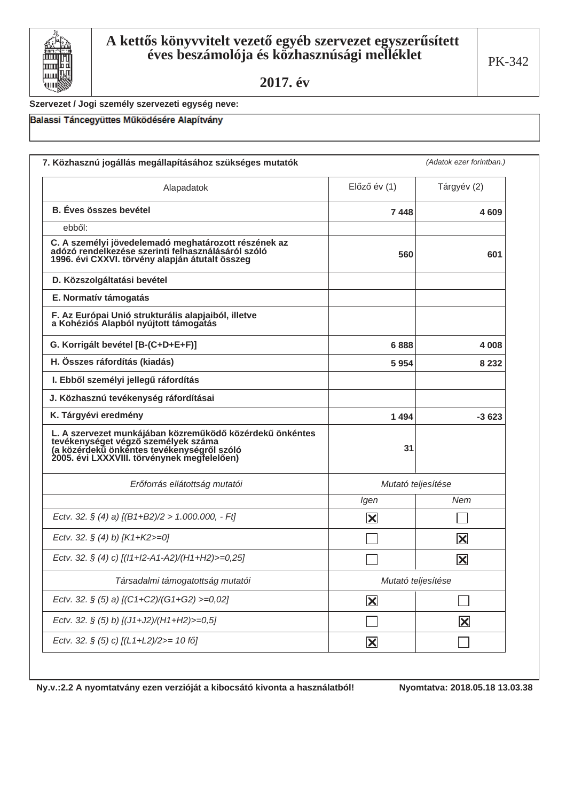

#### Szervezet / Jogi személy szervezeti egység neve:

### Balassi Táncegyüttes Működésére Alapítvány

| Alapadatok                                                                                                                                                                                   | $El$ őző év $(1)$       | Tárgyév (2)             |
|----------------------------------------------------------------------------------------------------------------------------------------------------------------------------------------------|-------------------------|-------------------------|
| <b>B.</b> Éves összes bevétel                                                                                                                                                                | 7448                    | 4609                    |
| ebből:                                                                                                                                                                                       |                         |                         |
| C. A személyi jövedelemadó meghatározott részének az<br>adózó rendelkezése szerinti felhasználásáról szóló<br>1996. évi CXXVI. törvény alapján átutalt összeg                                | 560                     | 601                     |
| D. Közszolgáltatási bevétel                                                                                                                                                                  |                         |                         |
| E. Normatív támogatás                                                                                                                                                                        |                         |                         |
| F. Az Európai Unió strukturális alapjaiból, illetve<br>a Kohéziós Alapból nyújtott támogatás                                                                                                 |                         |                         |
| G. Korrigált bevétel [B-(C+D+E+F)]                                                                                                                                                           | 6888                    | 4 0 0 8                 |
| H. Összes ráfordítás (kiadás)                                                                                                                                                                | 5954                    | 8 2 3 2                 |
| I. Ebből személyi jellegű ráfordítás                                                                                                                                                         |                         |                         |
| J. Közhasznú tevékenység ráfordításai                                                                                                                                                        |                         |                         |
| K. Tárgyévi eredmény                                                                                                                                                                         | 1494                    | $-3623$                 |
| L. A szervezet munkájában közreműködő közérdekű önkéntes<br>tevékenységet végző személyek száma<br>(a közérdekű önkéntes tevékenységről szóló<br>2005. évi LXXXVIII. törvénynek megfelelően) | 31                      |                         |
| Erőforrás ellátottság mutatói                                                                                                                                                                | Mutató teljesítése      |                         |
|                                                                                                                                                                                              | Igen                    | Nem                     |
| Ectv. 32. § (4) a) $[(B1+B2)/2 > 1.000.000, -Ft]$                                                                                                                                            | $\overline{\mathbf{X}}$ |                         |
| Ectv. 32. § (4) b) [K1+K2>=0]                                                                                                                                                                |                         | $ \mathsf{X} $          |
| Ectv. 32. § (4) c) [(11+12-A1-A2)/(H1+H2)>=0,25]                                                                                                                                             |                         | $ \mathsf{X} $          |
| Társadalmi támogatottság mutatói                                                                                                                                                             | Mutató teljesítése      |                         |
| Ectv. 32. § (5) a) [(C1+C2)/(G1+G2) >=0,02]                                                                                                                                                  | $\overline{\mathbf{X}}$ |                         |
| Ectv. 32. § (5) b) [(J1+J2)/(H1+H2)>=0,5]                                                                                                                                                    |                         | $\overline{\mathbf{X}}$ |
| Ectv. 32. § (5) c) [(L1+L2)/2>= 10 fő]                                                                                                                                                       | $\overline{\mathbf{X}}$ |                         |

Ny.v.:2.2 A nyomtatvány ezen verzióját a kibocsátó kivonta a használatból!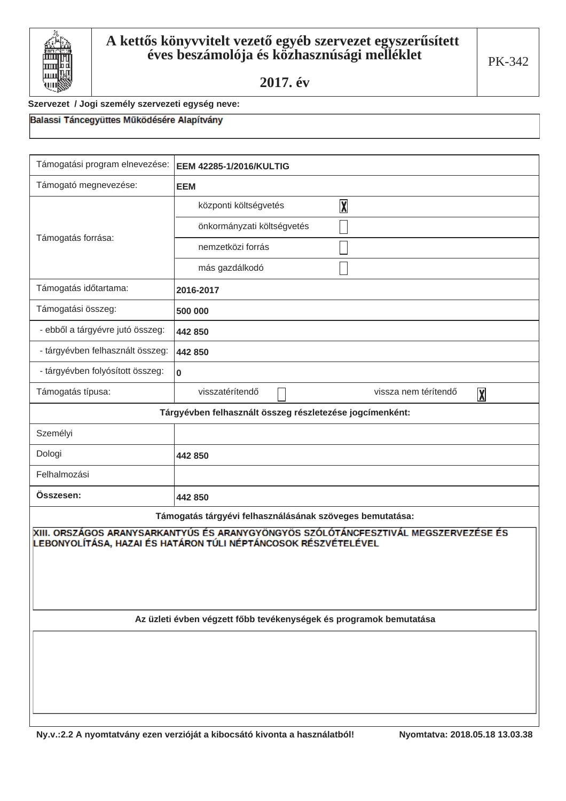

#### Szervezet / Jogi személy szervezeti egység neve:

| EEM 42285-1/2016/KULTIG                                                                                                                                                                                                                                                                 |  |
|-----------------------------------------------------------------------------------------------------------------------------------------------------------------------------------------------------------------------------------------------------------------------------------------|--|
| <b>EEM</b>                                                                                                                                                                                                                                                                              |  |
| $\overline{\mathbf{X}}$<br>központi költségvetés                                                                                                                                                                                                                                        |  |
| önkormányzati költségvetés                                                                                                                                                                                                                                                              |  |
| nemzetközi forrás                                                                                                                                                                                                                                                                       |  |
| más gazdálkodó                                                                                                                                                                                                                                                                          |  |
| 2016-2017                                                                                                                                                                                                                                                                               |  |
| 500 000                                                                                                                                                                                                                                                                                 |  |
| 442 850                                                                                                                                                                                                                                                                                 |  |
| 442 850                                                                                                                                                                                                                                                                                 |  |
| 0                                                                                                                                                                                                                                                                                       |  |
| visszatérítendő<br>vissza nem térítendő<br>$\overline{\mathbf{X}}$                                                                                                                                                                                                                      |  |
| Tárgyévben felhasznált összeg részletezése jogcímenként:                                                                                                                                                                                                                                |  |
|                                                                                                                                                                                                                                                                                         |  |
| 442 850                                                                                                                                                                                                                                                                                 |  |
|                                                                                                                                                                                                                                                                                         |  |
| 442 850                                                                                                                                                                                                                                                                                 |  |
| Támogatás tárgyévi felhasználásának szöveges bemutatása:<br>XIII. ORSZÁGOS ARANYSARKANTYÚS ÉS ARANYGYÖNGYÖS SZÓLÓTÁNCFESZTIVÁL MEGSZERVEZÉSE ÉS<br>LEBONYOLÍTÁSA, HAZAI ÉS HATÁRON TÚLI NÉPTÁNCOSOK RÉSZVÉTELÉVEL<br>Az üzleti évben végzett főbb tevékenységek és programok bemutatása |  |
|                                                                                                                                                                                                                                                                                         |  |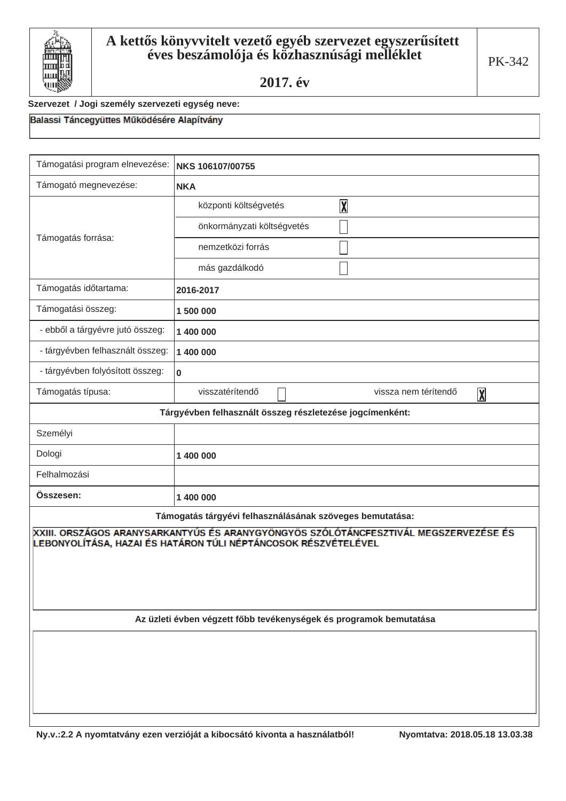

Balassi Táncegyüttes Működésére Alapítvány

Szervezet / Jogi személy szervezeti egység neve:

| Támogatási program elnevezése:                                                                                                                         | NKS 106107/00755                                                   |
|--------------------------------------------------------------------------------------------------------------------------------------------------------|--------------------------------------------------------------------|
| Támogató megnevezése:                                                                                                                                  | <b>NKA</b>                                                         |
|                                                                                                                                                        | $\overline{\mathbf{X}}$<br>központi költségvetés                   |
|                                                                                                                                                        | önkormányzati költségvetés                                         |
| Támogatás forrása:                                                                                                                                     | nemzetközi forrás                                                  |
|                                                                                                                                                        | más gazdálkodó                                                     |
| Támogatás időtartama:                                                                                                                                  | 2016-2017                                                          |
| Támogatási összeg:                                                                                                                                     | 1500000                                                            |
| - ebből a tárgyévre jutó összeg:                                                                                                                       | 1 400 000                                                          |
| - tárgyévben felhasznált összeg:                                                                                                                       | 1 400 000                                                          |
| - tárgyévben folyósított összeg:                                                                                                                       | $\mathbf 0$                                                        |
| Támogatás típusa:                                                                                                                                      | visszatérítendő<br>vissza nem térítendő<br>$\overline{\mathbf{X}}$ |
| Tárgyévben felhasznált összeg részletezése jogcímenként:                                                                                               |                                                                    |
| Személyi                                                                                                                                               |                                                                    |
| Dologi                                                                                                                                                 | 1 400 000                                                          |
| Felhalmozási                                                                                                                                           |                                                                    |
| Összesen:                                                                                                                                              | 1 400 000                                                          |
| Támogatás tárgyévi felhasználásának szöveges bemutatása:                                                                                               |                                                                    |
| XXIII. ORSZÁGOS ARANYSARKANTYÚS ÉS ARANYGYÖNGYÖS SZÓLÓTÁNCFESZTIVÁL MEGSZERVEZÉSE ÉS<br>LEBONYOLÍTÁSA, HAZAI ÉS HATÁRON TÚLI NÉPTÁNCOSOK RÉSZVÉTELÉVEL |                                                                    |
| Az üzleti évben végzett főbb tevékenységek és programok bemutatása                                                                                     |                                                                    |
|                                                                                                                                                        |                                                                    |
|                                                                                                                                                        |                                                                    |
|                                                                                                                                                        |                                                                    |
|                                                                                                                                                        |                                                                    |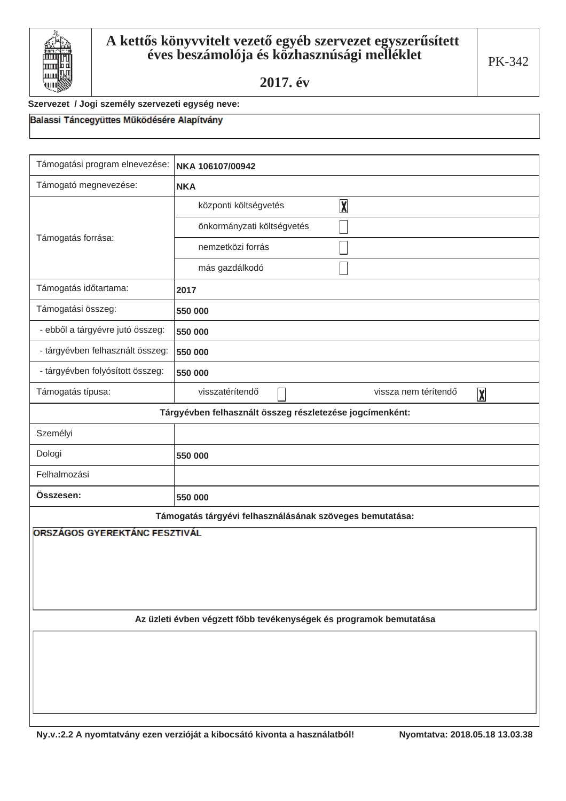

#### Szervezet / Jogi személy szervezeti egység neve:

| Támogatási program elnevezése:                                     | NKA 106107/00942                                                   |
|--------------------------------------------------------------------|--------------------------------------------------------------------|
| Támogató megnevezése:                                              | <b>NKA</b>                                                         |
| Támogatás forrása:                                                 | $\overline{\mathbf{X}}$<br>központi költségvetés                   |
|                                                                    | önkormányzati költségvetés                                         |
|                                                                    | nemzetközi forrás                                                  |
|                                                                    | más gazdálkodó                                                     |
| Támogatás időtartama:                                              | 2017                                                               |
| Támogatási összeg:                                                 | 550 000                                                            |
| - ebből a tárgyévre jutó összeg:                                   | 550 000                                                            |
| - tárgyévben felhasznált összeg:                                   | 550 000                                                            |
| - tárgyévben folyósított összeg:                                   | 550 000                                                            |
| Támogatás típusa:                                                  | visszatérítendő<br>vissza nem térítendő<br>$\overline{\mathbf{X}}$ |
| Tárgyévben felhasznált összeg részletezése jogcímenként:           |                                                                    |
| Személyi                                                           |                                                                    |
| Dologi                                                             | 550 000                                                            |
| Felhalmozási                                                       |                                                                    |
| Összesen:                                                          | 550 000                                                            |
| Támogatás tárgyévi felhasználásának szöveges bemutatása:           |                                                                    |
| ORSZÁGOS GYEREKTÁNC FESZTIVÁL                                      |                                                                    |
|                                                                    |                                                                    |
|                                                                    |                                                                    |
|                                                                    |                                                                    |
| Az üzleti évben végzett főbb tevékenységek és programok bemutatása |                                                                    |
|                                                                    |                                                                    |
|                                                                    |                                                                    |
|                                                                    |                                                                    |
|                                                                    |                                                                    |
|                                                                    |                                                                    |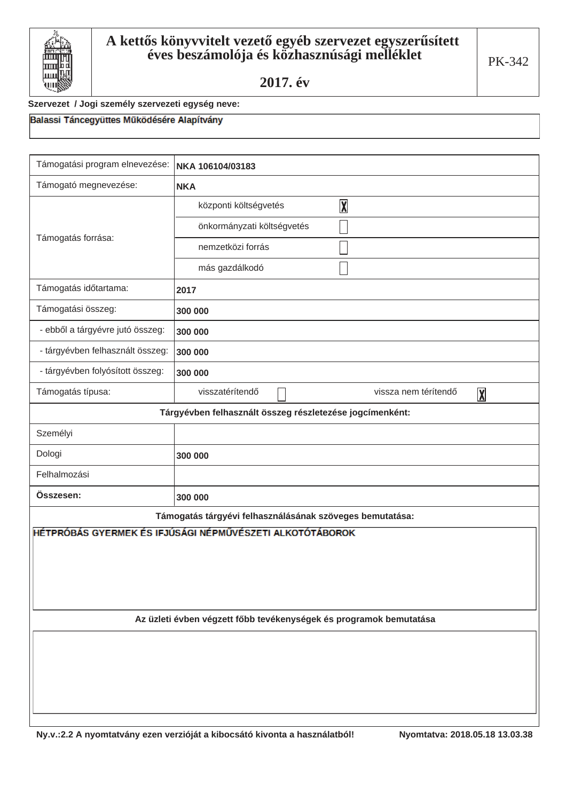

#### Szervezet / Jogi személy szervezeti egység neve:

| NKA 106104/03183                                                   |  |
|--------------------------------------------------------------------|--|
| <b>NKA</b>                                                         |  |
| $\overline{\mathbf{X}}$<br>központi költségvetés                   |  |
| önkormányzati költségvetés                                         |  |
| nemzetközi forrás                                                  |  |
| más gazdálkodó                                                     |  |
| 2017                                                               |  |
| 300 000                                                            |  |
| 300 000                                                            |  |
| 300 000                                                            |  |
| 300 000                                                            |  |
| visszatérítendő<br>vissza nem térítendő<br>$\overline{\mathbf{X}}$ |  |
| Tárgyévben felhasznált összeg részletezése jogcímenként:           |  |
|                                                                    |  |
| 300 000                                                            |  |
|                                                                    |  |
| 300 000                                                            |  |
| Támogatás tárgyévi felhasználásának szöveges bemutatása:           |  |
| HÉTPRÓBÁS GYERMEK ÉS IFJÚSÁGI NÉPMŰVÉSZETI ALKOTÓTÁBOROK           |  |
|                                                                    |  |
| Az üzleti évben végzett főbb tevékenységek és programok bemutatása |  |
|                                                                    |  |
|                                                                    |  |
|                                                                    |  |
|                                                                    |  |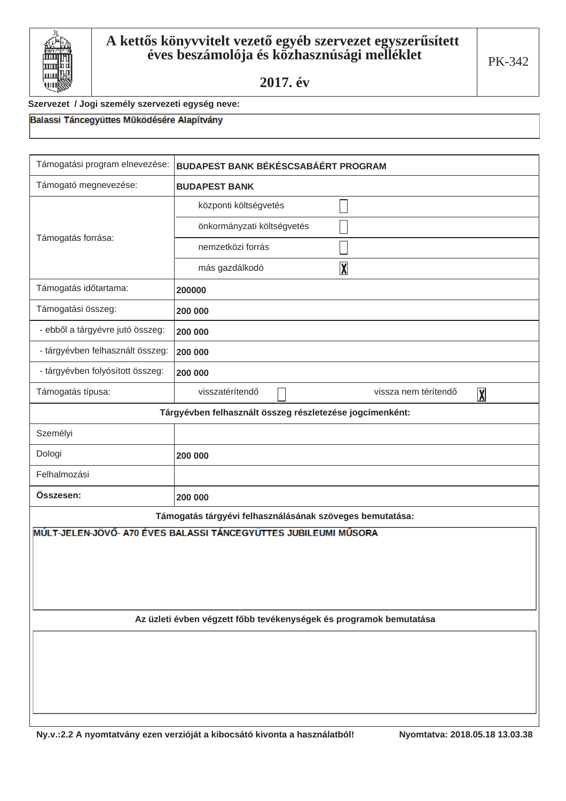

#### Szervezet / Jogi személy szervezeti egység neve:

| Támogatási program elnevezése:                                     | <b>BUDAPEST BANK BÉKÉSCSABÁÉRT PROGRAM</b>                         |
|--------------------------------------------------------------------|--------------------------------------------------------------------|
| Támogató megnevezése:                                              | <b>BUDAPEST BANK</b>                                               |
|                                                                    | központi költségvetés                                              |
|                                                                    | önkormányzati költségvetés                                         |
| Támogatás forrása:                                                 | nemzetközi forrás                                                  |
|                                                                    | $\overline{\mathbf{X}}$<br>más gazdálkodó                          |
| Támogatás időtartama:                                              | 200000                                                             |
| Támogatási összeg:                                                 | 200 000                                                            |
| - ebből a tárgyévre jutó összeg:                                   | 200 000                                                            |
| - tárgyévben felhasznált összeg:                                   | 200 000                                                            |
| - tárgyévben folyósított összeg:                                   | 200 000                                                            |
| Támogatás típusa:                                                  | visszatérítendő<br>vissza nem térítendő<br>$\overline{\mathbf{X}}$ |
| Tárgyévben felhasznált összeg részletezése jogcímenként:           |                                                                    |
| Személyi                                                           |                                                                    |
| Dologi                                                             | 200 000                                                            |
| Felhalmozási                                                       |                                                                    |
| Összesen:                                                          | 200 000                                                            |
|                                                                    | Támogatás tárgyévi felhasználásának szöveges bemutatása:           |
|                                                                    | MÚLT-JELEN-JÖVŐ- A70 ÉVES BALASSI TÁNCEGYÜTTES JUBILEUMI MŰSORA    |
|                                                                    |                                                                    |
|                                                                    |                                                                    |
|                                                                    |                                                                    |
| Az üzleti évben végzett főbb tevékenységek és programok bemutatása |                                                                    |
|                                                                    |                                                                    |
|                                                                    |                                                                    |
|                                                                    |                                                                    |
|                                                                    |                                                                    |
|                                                                    |                                                                    |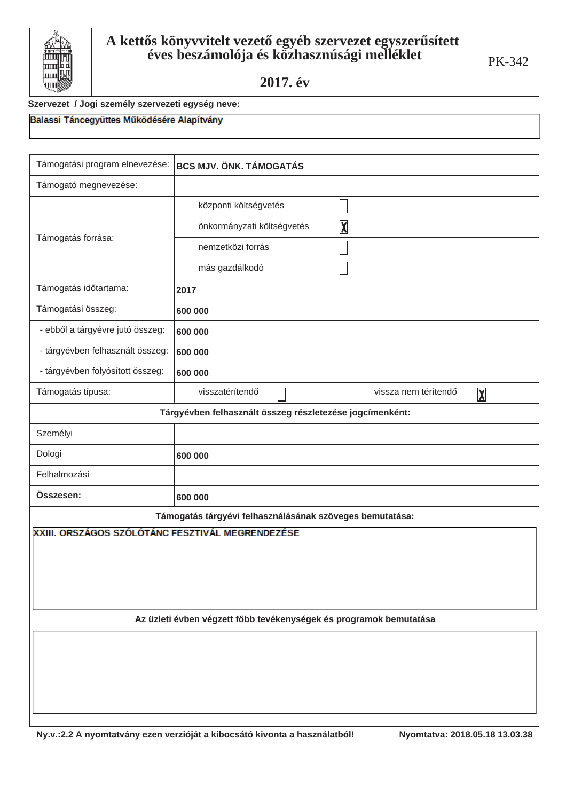

#### Szervezet / Jogi személy szervezeti egység neve:

| Támogatási program elnevezése:                                     | <b>BCS MJV. ÖNK. TÁMOGATÁS</b>                                     |
|--------------------------------------------------------------------|--------------------------------------------------------------------|
| Támogató megnevezése:                                              |                                                                    |
| Támogatás forrása:                                                 | központi költségvetés                                              |
|                                                                    | $\overline{\mathbf{X}}$<br>önkormányzati költségvetés              |
|                                                                    | nemzetközi forrás                                                  |
|                                                                    | más gazdálkodó                                                     |
| Támogatás időtartama:                                              | 2017                                                               |
| Támogatási összeg:                                                 | 600 000                                                            |
| - ebből a tárgyévre jutó összeg:                                   | 600 000                                                            |
| - tárgyévben felhasznált összeg:                                   | 600 000                                                            |
| - tárgyévben folyósított összeg:                                   | 600 000                                                            |
| Támogatás típusa:                                                  | visszatérítendő<br>vissza nem térítendő<br>$\overline{\mathbf{X}}$ |
| Tárgyévben felhasznált összeg részletezése jogcímenként:           |                                                                    |
| Személyi                                                           |                                                                    |
| Dologi                                                             | 600 000                                                            |
| Felhalmozási                                                       |                                                                    |
| Összesen:                                                          | 600 000                                                            |
|                                                                    | Támogatás tárgyévi felhasználásának szöveges bemutatása:           |
| XXIII. ORSZÁGOS SZÓLÓTÁNC FESZTIVÁL MEGRENDEZÉSE                   |                                                                    |
|                                                                    |                                                                    |
|                                                                    |                                                                    |
|                                                                    |                                                                    |
| Az üzleti évben végzett főbb tevékenységek és programok bemutatása |                                                                    |
|                                                                    |                                                                    |
|                                                                    |                                                                    |
|                                                                    |                                                                    |
|                                                                    |                                                                    |
|                                                                    |                                                                    |